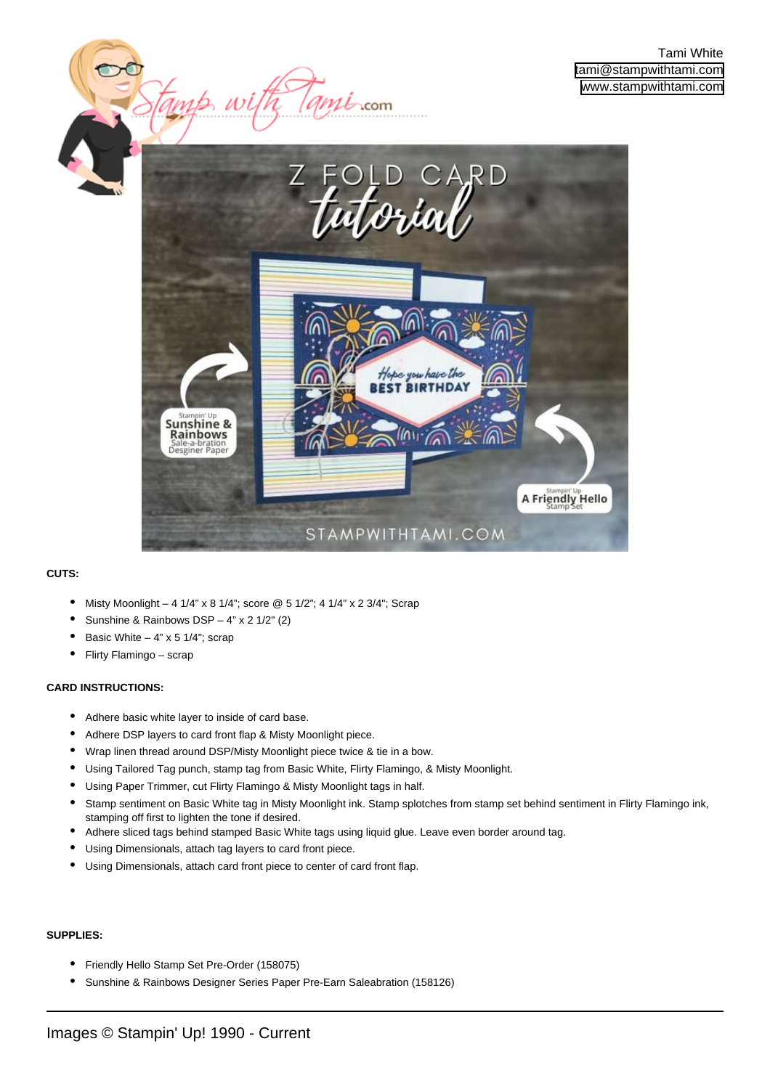



 $m$ i<sub>com</sub>

## **CUTS:**

- Misty Moonlight 4 1/4" x 8 1/4"; score  $@$  5 1/2"; 4 1/4" x 2 3/4"; Scrap
- Sunshine & Rainbows DSP  $4"$  x 2  $1/2"$  (2)

tamp w

- Basic White  $-4$ " x 5 1/4"; scrap
- Flirty Flamingo scrap

## **CARD INSTRUCTIONS:**

- Adhere basic white layer to inside of card base.
- Adhere DSP layers to card front flap & Misty Moonlight piece.
- Wrap linen thread around DSP/Misty Moonlight piece twice & tie in a bow.
- Using Tailored Tag punch, stamp tag from Basic White, Flirty Flamingo, & Misty Moonlight.
- Using Paper Trimmer, cut Flirty Flamingo & Misty Moonlight tags in half.
- Stamp sentiment on Basic White tag in Misty Moonlight ink. Stamp splotches from stamp set behind sentiment in Flirty Flamingo ink, stamping off first to lighten the tone if desired. •
- Adhere sliced tags behind stamped Basic White tags using liquid glue. Leave even border around tag.
- Using Dimensionals, attach tag layers to card front piece.
- Using Dimensionals, attach card front piece to center of card front flap.

## **SUPPLIES:**

- Friendly Hello Stamp Set Pre-Order (158075)
- Sunshine & Rainbows Designer Series Paper Pre-Earn Saleabration (158126)